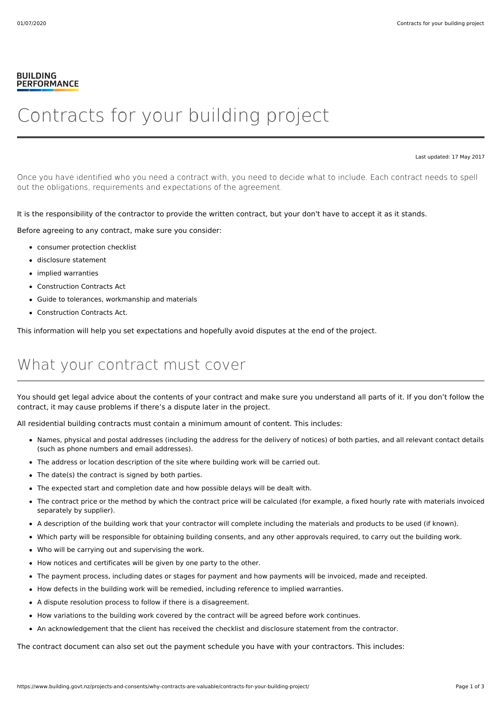#### **BUILDING PERFORMANCE**

# Contracts for your building project

Last updated: 17 May 2017

Once you have identified who you need a contract with, you need to decide what to include. Each contract needs to spell out the obligations, requirements and expectations of the agreement.

It is the responsibility of the contractor to provide the written contract, but your don't have to accept it as it stands.

Before agreeing to any contract, make sure you consider:

- consumer protection checklist
- disclosure statement
- implied warranties
- Construction Contracts Act
- Guide to tolerances, workmanship and materials
- Construction Contracts Act.

This information will help you set expectations and hopefully avoid disputes at the end of the project.

#### What your contract must cover

You should get legal advice about the contents of your contract and make sure you understand all parts of it. If you don't follow the contract, it may cause problems if there's a dispute later in the project.

All residential building contracts must contain a minimum amount of content. This includes:

- Names, physical and postal addresses (including the address for the delivery of notices) of both parties, and all relevant contact details (such as phone numbers and email addresses).
- The address or location description of the site where building work will be carried out.
- The date(s) the contract is signed by both parties.
- The expected start and completion date and how possible delays will be dealt with.
- The contract price or the method by which the contract price will be calculated (for example, a fixed hourly rate with materials invoiced separately by supplier).
- A description of the building work that your contractor will complete including the materials and products to be used (if known).
- Which party will be responsible for obtaining building consents, and any other approvals required, to carry out the building work.
- Who will be carrying out and supervising the work.
- How notices and certificates will be given by one party to the other.
- The payment process, including dates or stages for payment and how payments will be invoiced, made and receipted.
- How defects in the building work will be remedied, including reference to implied warranties.
- A dispute resolution process to follow if there is a disagreement.
- How variations to the building work covered by the contract will be agreed before work continues.
- An acknowledgement that the client has received the checklist and disclosure statement from the contractor.

The contract document can also set out the payment schedule you have with your contractors. This includes: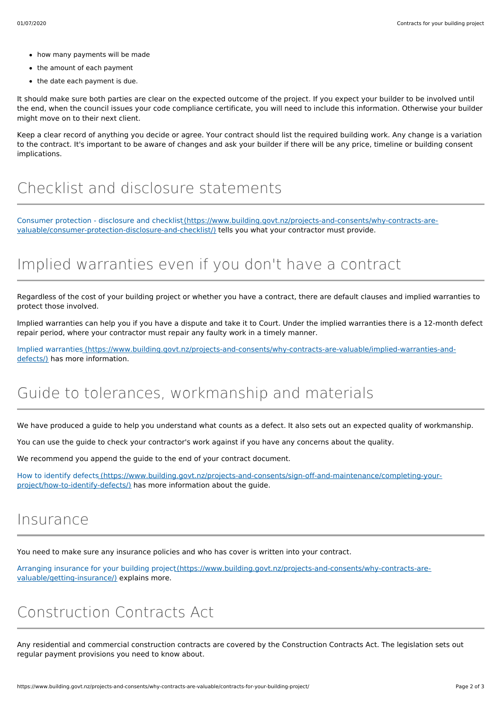- how many payments will be made
- the amount of each payment
- the date each payment is due.

It should make sure both parties are clear on the expected outcome of the project. If you expect your builder to be involved until the end, when the council issues your code compliance certificate, you will need to include this information. Otherwise your builder might move on to their next client.

Keep a clear record of anything you decide or agree. Your contract should list the required building work. Any change is a variation to the contract. It's important to be aware of changes and ask your builder if there will be any price, timeline or building consent implications.

## Checklist and disclosure statements

Consumer protection - disclosure and [checklist\(https://www.building.govt.nz/projects-and-consents/why-contracts-are](https://www.building.govt.nz/projects-and-consents/why-contracts-are-valuable/consumer-protection-disclosure-and-checklist/)valuable/consumer-protection-disclosure-and-checklist/) tells you what your contractor must provide.

## Implied warranties even if you don't have a contract

Regardless of the cost of your building project or whether you have a contract, there are default clauses and implied warranties to protect those involved.

Implied warranties can help you if you have a dispute and take it to Court. Under the implied warranties there is a 12-month defect repair period, where your contractor must repair any faulty work in a timely manner.

Implied warranties [\(https://www.building.govt.nz/projects-and-consents/why-contracts-are-valuable/implied-warranties-and](https://www.building.govt.nz/projects-and-consents/why-contracts-are-valuable/implied-warranties-and-defects/)defects/) has more information.

### Guide to tolerances, workmanship and materials

We have produced a guide to help you understand what counts as a defect. It also sets out an expected quality of workmanship.

You can use the guide to check your contractor's work against if you have any concerns about the quality.

We recommend you append the guide to the end of your contract document.

How to identify defects [\(https://www.building.govt.nz/projects-and-consents/sign-off-and-maintenance/completing-your](https://www.building.govt.nz/projects-and-consents/sign-off-and-maintenance/completing-your-project/how-to-identify-defects/)project/how-to-identify-defects/) has more information about the guide.

#### Insurance

You need to make sure any insurance policies and who has cover is written into your contract.

Arranging insurance for your building [project\(https://www.building.govt.nz/projects-and-consents/why-contracts-are](https://www.building.govt.nz/projects-and-consents/why-contracts-are-valuable/getting-insurance/)valuable/getting-insurance/) explains more.

### Construction Contracts Act

Any residential and commercial construction contracts are covered by the Construction Contracts Act. The legislation sets out regular payment provisions you need to know about.